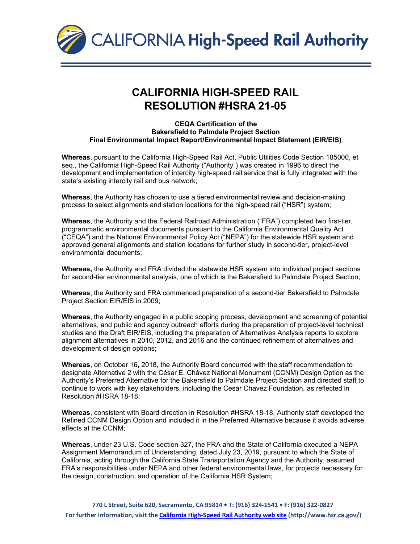

## **CALIFORNIA HIGH-SPEED RAIL RESOLUTION #HSRA 21-05**

## **CEQA Certification of the Bakersfield to Palmdale Project Section Final Environmental Impact Report/Environmental Impact Statement (EIR/EIS)**

**Whereas**, pursuant to the California High-Speed Rail Act, Public Utilities Code Section 185000, et seq., the California High-Speed Rail Authority ("Authority") was created in 1996 to direct the development and implementation of intercity high-speed rail service that is fully integrated with the state's existing intercity rail and bus network;

**Whereas**, the Authority has chosen to use a tiered environmental review and decision-making process to select alignments and station locations for the high-speed rail ("HSR") system;

**Whereas**, the Authority and the Federal Railroad Administration ("FRA") completed two first-tier, programmatic environmental documents pursuant to the California Environmental Quality Act ("CEQA") and the National Environmental Policy Act ("NEPA") for the statewide HSR system and approved general alignments and station locations for further study in second-tier, project-level environmental documents;

**Whereas,** the Authority and FRA divided the statewide HSR system into individual project sections for second-tier environmental analysis, one of which is the Bakersfield to Palmdale Project Section;

**Whereas**, the Authority and FRA commenced preparation of a second-tier Bakersfield to Palmdale Project Section EIR/EIS in 2009;

**Whereas**, the Authority engaged in a public scoping process, development and screening of potential alternatives, and public and agency outreach efforts during the preparation of project-level technical studies and the Draft EIR/EIS, including the preparation of Alternatives Analysis reports to explore alignment alternatives in 2010, 2012, and 2016 and the continued refinement of alternatives and development of design options;

**Whereas**, on October 16, 2018, the Authority Board concurred with the staff recommendation to designate Alternative 2 with the César E. Chávez National Monument (CCNM) Design Option as the Authority's Preferred Alternative for the Bakersfield to Palmdale Project Section and directed staff to continue to work with key stakeholders, including the Cesar Chavez Foundation, as reflected in Resolution #HSRA 18-18;

**Whereas**, consistent with Board direction in Resolution #HSRA 18-18, Authority staff developed the Refined CCNM Design Option and included it in the Preferred Alternative because it avoids adverse effects at the CCNM;

**Whereas**, under 23 U.S. Code section 327, the FRA and the State of California executed a NEPA Assignment Memorandum of Understanding, dated July 23, 2019, pursuant to which the State of California, acting through the California State Transportation Agency and the Authority, assumed FRA's responsibilities under NEPA and other federal environmental laws, for projects necessary for the design, construction, and operation of the California HSR System;